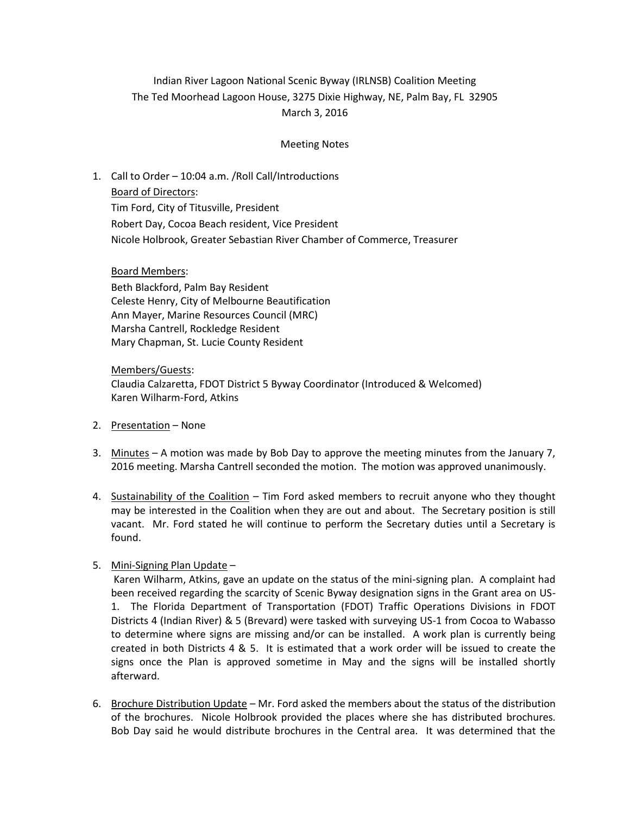## Indian River Lagoon National Scenic Byway (IRLNSB) Coalition Meeting The Ted Moorhead Lagoon House, 3275 Dixie Highway, NE, Palm Bay, FL 32905 March 3, 2016

### Meeting Notes

# 1. Call to Order – 10:04 a.m. /Roll Call/Introductions

Board of Directors: Tim Ford, City of Titusville, President Robert Day, Cocoa Beach resident, Vice President Nicole Holbrook, Greater Sebastian River Chamber of Commerce, Treasurer

#### Board Members:

Beth Blackford, Palm Bay Resident Celeste Henry, City of Melbourne Beautification Ann Mayer, Marine Resources Council (MRC) Marsha Cantrell, Rockledge Resident Mary Chapman, St. Lucie County Resident

### Members/Guests: Claudia Calzaretta, FDOT District 5 Byway Coordinator (Introduced & Welcomed) Karen Wilharm-Ford, Atkins

- 2. Presentation None
- 3. Minutes A motion was made by Bob Day to approve the meeting minutes from the January 7, 2016 meeting. Marsha Cantrell seconded the motion. The motion was approved unanimously.
- 4. Sustainability of the Coalition Tim Ford asked members to recruit anyone who they thought may be interested in the Coalition when they are out and about. The Secretary position is still vacant. Mr. Ford stated he will continue to perform the Secretary duties until a Secretary is found.
- 5. Mini-Signing Plan Update –

Karen Wilharm, Atkins, gave an update on the status of the mini-signing plan. A complaint had been received regarding the scarcity of Scenic Byway designation signs in the Grant area on US-1. The Florida Department of Transportation (FDOT) Traffic Operations Divisions in FDOT Districts 4 (Indian River) & 5 (Brevard) were tasked with surveying US-1 from Cocoa to Wabasso to determine where signs are missing and/or can be installed. A work plan is currently being created in both Districts 4 & 5. It is estimated that a work order will be issued to create the signs once the Plan is approved sometime in May and the signs will be installed shortly afterward.

6. Brochure Distribution Update – Mr. Ford asked the members about the status of the distribution of the brochures. Nicole Holbrook provided the places where she has distributed brochures. Bob Day said he would distribute brochures in the Central area. It was determined that the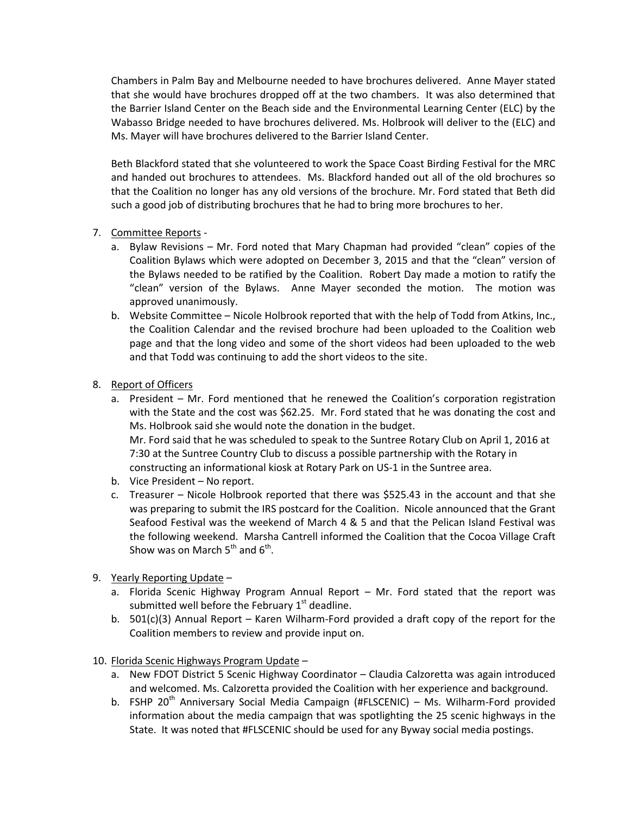Chambers in Palm Bay and Melbourne needed to have brochures delivered. Anne Mayer stated that she would have brochures dropped off at the two chambers. It was also determined that the Barrier Island Center on the Beach side and the Environmental Learning Center (ELC) by the Wabasso Bridge needed to have brochures delivered. Ms. Holbrook will deliver to the (ELC) and Ms. Mayer will have brochures delivered to the Barrier Island Center.

Beth Blackford stated that she volunteered to work the Space Coast Birding Festival for the MRC and handed out brochures to attendees. Ms. Blackford handed out all of the old brochures so that the Coalition no longer has any old versions of the brochure. Mr. Ford stated that Beth did such a good job of distributing brochures that he had to bring more brochures to her.

- 7. Committee Reports
	- a. Bylaw Revisions Mr. Ford noted that Mary Chapman had provided "clean" copies of the Coalition Bylaws which were adopted on December 3, 2015 and that the "clean" version of the Bylaws needed to be ratified by the Coalition. Robert Day made a motion to ratify the "clean" version of the Bylaws. Anne Mayer seconded the motion. The motion was approved unanimously.
	- b. Website Committee Nicole Holbrook reported that with the help of Todd from Atkins, Inc., the Coalition Calendar and the revised brochure had been uploaded to the Coalition web page and that the long video and some of the short videos had been uploaded to the web and that Todd was continuing to add the short videos to the site.
- 8. Report of Officers
	- a. President Mr. Ford mentioned that he renewed the Coalition's corporation registration with the State and the cost was \$62.25. Mr. Ford stated that he was donating the cost and Ms. Holbrook said she would note the donation in the budget. Mr. Ford said that he was scheduled to speak to the Suntree Rotary Club on April 1, 2016 at 7:30 at the Suntree Country Club to discuss a possible partnership with the Rotary in constructing an informational kiosk at Rotary Park on US-1 in the Suntree area.
	- b. Vice President No report.
	- c. Treasurer Nicole Holbrook reported that there was \$525.43 in the account and that she was preparing to submit the IRS postcard for the Coalition. Nicole announced that the Grant Seafood Festival was the weekend of March 4 & 5 and that the Pelican Island Festival was the following weekend. Marsha Cantrell informed the Coalition that the Cocoa Village Craft Show was on March  $5^{\text{th}}$  and  $6^{\text{th}}$ .
- 9. Yearly Reporting Update
	- a. Florida Scenic Highway Program Annual Report Mr. Ford stated that the report was submitted well before the February  $1<sup>st</sup>$  deadline.
	- b.  $501(c)(3)$  Annual Report Karen Wilharm-Ford provided a draft copy of the report for the Coalition members to review and provide input on.
- 10. Florida Scenic Highways Program Update
	- a. New FDOT District 5 Scenic Highway Coordinator Claudia Calzoretta was again introduced and welcomed. Ms. Calzoretta provided the Coalition with her experience and background.
	- b. FSHP 20<sup>th</sup> Anniversary Social Media Campaign (#FLSCENIC) Ms. Wilharm-Ford provided information about the media campaign that was spotlighting the 25 scenic highways in the State. It was noted that #FLSCENIC should be used for any Byway social media postings.